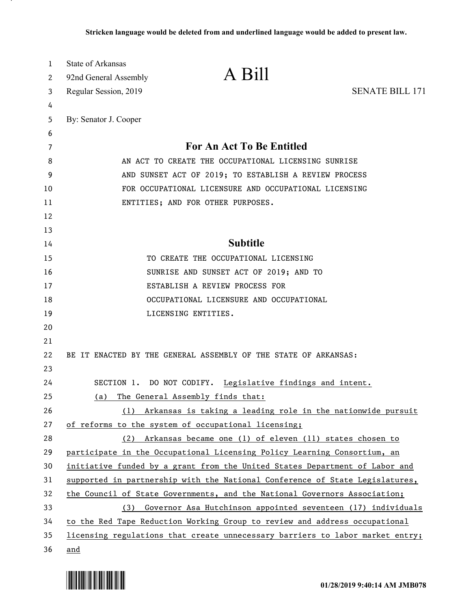| 1  | State of Arkansas     |                                                                               |                        |
|----|-----------------------|-------------------------------------------------------------------------------|------------------------|
| 2  | 92nd General Assembly | A Bill                                                                        |                        |
| 3  | Regular Session, 2019 |                                                                               | <b>SENATE BILL 171</b> |
| 4  |                       |                                                                               |                        |
| 5  | By: Senator J. Cooper |                                                                               |                        |
| 6  |                       |                                                                               |                        |
| 7  |                       | For An Act To Be Entitled                                                     |                        |
| 8  |                       | AN ACT TO CREATE THE OCCUPATIONAL LICENSING SUNRISE                           |                        |
| 9  |                       | AND SUNSET ACT OF 2019; TO ESTABLISH A REVIEW PROCESS                         |                        |
| 10 |                       | FOR OCCUPATIONAL LICENSURE AND OCCUPATIONAL LICENSING                         |                        |
| 11 |                       | ENTITIES; AND FOR OTHER PURPOSES.                                             |                        |
| 12 |                       |                                                                               |                        |
| 13 |                       |                                                                               |                        |
| 14 |                       | <b>Subtitle</b>                                                               |                        |
| 15 |                       | TO CREATE THE OCCUPATIONAL LICENSING                                          |                        |
| 16 |                       | SUNRISE AND SUNSET ACT OF 2019; AND TO                                        |                        |
| 17 |                       | ESTABLISH A REVIEW PROCESS FOR                                                |                        |
| 18 |                       | OCCUPATIONAL LICENSURE AND OCCUPATIONAL                                       |                        |
| 19 |                       | LICENSING ENTITIES.                                                           |                        |
| 20 |                       |                                                                               |                        |
| 21 |                       |                                                                               |                        |
| 22 |                       | BE IT ENACTED BY THE GENERAL ASSEMBLY OF THE STATE OF ARKANSAS:               |                        |
| 23 |                       |                                                                               |                        |
| 24 |                       | SECTION 1. DO NOT CODIFY. Legislative findings and intent.                    |                        |
| 25 | (a)                   | The General Assembly finds that:                                              |                        |
| 26 |                       | (1) Arkansas is taking a leading role in the nationwide pursuit               |                        |
| 27 |                       | of reforms to the system of occupational licensing;                           |                        |
| 28 |                       | (2) Arkansas became one (1) of eleven (11) states chosen to                   |                        |
| 29 |                       | participate in the Occupational Licensing Policy Learning Consortium, an      |                        |
| 30 |                       | initiative funded by a grant from the United States Department of Labor and   |                        |
| 31 |                       | supported in partnership with the National Conference of State Legislatures,  |                        |
| 32 |                       | the Council of State Governments, and the National Governors Association;     |                        |
| 33 |                       | (3) Governor Asa Hutchinson appointed seventeen (17) individuals              |                        |
| 34 |                       | to the Red Tape Reduction Working Group to review and address occupational    |                        |
| 35 |                       | licensing regulations that create unnecessary barriers to labor market entry; |                        |
| 36 | and                   |                                                                               |                        |

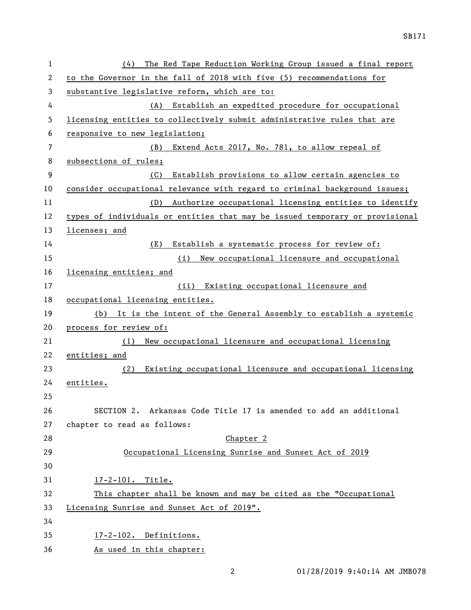| 1  | The Red Tape Reduction Working Group issued a final report<br>(4)            |  |  |  |
|----|------------------------------------------------------------------------------|--|--|--|
| 2  | to the Governor in the fall of 2018 with five (5) recommendations for        |  |  |  |
| 3  | substantive legislative reform, which are to:                                |  |  |  |
| 4  | Establish an expedited procedure for occupational<br>(A)                     |  |  |  |
| 5  | licensing entities to collectively submit administrative rules that are      |  |  |  |
| 6  | responsive to new legislation;                                               |  |  |  |
| 7  | (B)<br>Extend Acts 2017, No. 781, to allow repeal of                         |  |  |  |
| 8  | subsections of rules;                                                        |  |  |  |
| 9  | Establish provisions to allow certain agencies to<br>(C)                     |  |  |  |
| 10 | consider occupational relevance with regard to criminal background issues;   |  |  |  |
| 11 | Authorize occupational licensing entities to identify<br>(D)                 |  |  |  |
| 12 | types of individuals or entities that may be issued temporary or provisional |  |  |  |
| 13 | licenses; and                                                                |  |  |  |
| 14 | Establish a systematic process for review of:<br>(E)                         |  |  |  |
| 15 | New occupational licensure and occupational<br>(i)                           |  |  |  |
| 16 | licensing entities; and                                                      |  |  |  |
| 17 | (ii) Existing occupational licensure and                                     |  |  |  |
| 18 | occupational licensing entities.                                             |  |  |  |
| 19 | (b) It is the intent of the General Assembly to establish a systemic         |  |  |  |
| 20 | process for review of:                                                       |  |  |  |
| 21 | New occupational licensure and occupational licensing<br>(1)                 |  |  |  |
| 22 | entities; and                                                                |  |  |  |
| 23 | Existing occupational licensure and occupational licensing<br>(2)            |  |  |  |
| 24 | entities.                                                                    |  |  |  |
| 25 |                                                                              |  |  |  |
| 26 | SECTION 2. Arkansas Code Title 17 is amended to add an additional            |  |  |  |
| 27 | chapter to read as follows:                                                  |  |  |  |
| 28 | Chapter <sub>2</sub>                                                         |  |  |  |
| 29 | Occupational Licensing Sunrise and Sunset Act of 2019                        |  |  |  |
| 30 |                                                                              |  |  |  |
| 31 | 17-2-101. Title.                                                             |  |  |  |
| 32 | This chapter shall be known and may be cited as the "Occupational            |  |  |  |
| 33 | Licensing Sunrise and Sunset Act of 2019".                                   |  |  |  |
| 34 |                                                                              |  |  |  |
| 35 | 17-2-102. Definitions.                                                       |  |  |  |
| 36 | As used in this chapter:                                                     |  |  |  |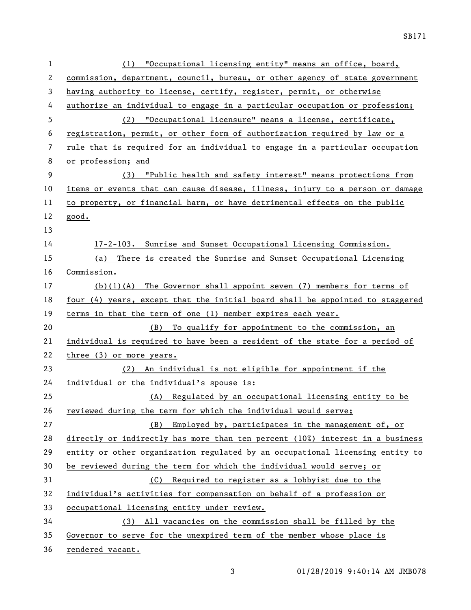| 1            | "Occupational licensing entity" means an office, board,<br>(1)                |  |  |  |  |  |
|--------------|-------------------------------------------------------------------------------|--|--|--|--|--|
| $\mathbf{2}$ | commission, department, council, bureau, or other agency of state government  |  |  |  |  |  |
| 3            | having authority to license, certify, register, permit, or otherwise          |  |  |  |  |  |
| 4            | authorize an individual to engage in a particular occupation or profession;   |  |  |  |  |  |
| 5            | (2) "Occupational licensure" means a license, certificate,                    |  |  |  |  |  |
| 6            | registration, permit, or other form of authorization required by law or a     |  |  |  |  |  |
| 7            | rule that is required for an individual to engage in a particular occupation  |  |  |  |  |  |
| 8            | or profession; and                                                            |  |  |  |  |  |
| 9            | (3) "Public health and safety interest" means protections from                |  |  |  |  |  |
| 10           | items or events that can cause disease, illness, injury to a person or damage |  |  |  |  |  |
| 11           | to property, or financial harm, or have detrimental effects on the public     |  |  |  |  |  |
| 12           | good.                                                                         |  |  |  |  |  |
| 13           |                                                                               |  |  |  |  |  |
| 14           | 17-2-103. Sunrise and Sunset Occupational Licensing Commission.               |  |  |  |  |  |
| 15           | (a) There is created the Sunrise and Sunset Occupational Licensing            |  |  |  |  |  |
| 16           | Commission.                                                                   |  |  |  |  |  |
| 17           | $(b)(1)(A)$ The Governor shall appoint seven (7) members for terms of         |  |  |  |  |  |
| 18           | four (4) years, except that the initial board shall be appointed to staggered |  |  |  |  |  |
|              |                                                                               |  |  |  |  |  |
| 19           | terms in that the term of one (1) member expires each year.                   |  |  |  |  |  |
| 20           | (B) To qualify for appointment to the commission, an                          |  |  |  |  |  |
| 21           | individual is required to have been a resident of the state for a period of   |  |  |  |  |  |
| 22           | three (3) or more years.                                                      |  |  |  |  |  |
| 23           | (2) An individual is not eligible for appointment if the                      |  |  |  |  |  |
| 24           | individual or the individual's spouse is:                                     |  |  |  |  |  |
| 25           | (A) Regulated by an occupational licensing entity to be                       |  |  |  |  |  |
| 26           | reviewed during the term for which the individual would serve;                |  |  |  |  |  |
| 27           | Employed by, participates in the management of, or<br>(B)                     |  |  |  |  |  |
| 28           | directly or indirectly has more than ten percent (10%) interest in a business |  |  |  |  |  |
| 29           | entity or other organization regulated by an occupational licensing entity to |  |  |  |  |  |
| 30           | be reviewed during the term for which the individual would serve; or          |  |  |  |  |  |
| 31           | Required to register as a lobbyist due to the<br>(C)                          |  |  |  |  |  |
| 32           | individual's activities for compensation on behalf of a profession or         |  |  |  |  |  |
| 33           | occupational licensing entity under review.                                   |  |  |  |  |  |
| 34           | (3) All vacancies on the commission shall be filled by the                    |  |  |  |  |  |
| 35           | Governor to serve for the unexpired term of the member whose place is         |  |  |  |  |  |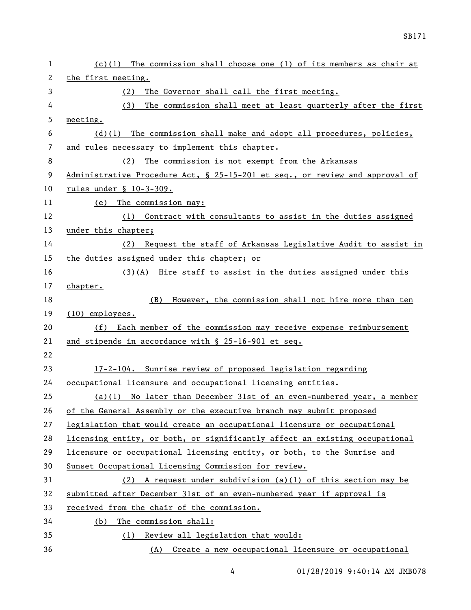| 1  | $(c)(1)$ The commission shall choose one (1) of its members as chair at      |
|----|------------------------------------------------------------------------------|
| 2  | the first meeting.                                                           |
| 3  | The Governor shall call the first meeting.<br>(2)                            |
| 4  | (3)<br>The commission shall meet at least quarterly after the first          |
| 5  | meeting.                                                                     |
| 6  | $(d)(1)$ The commission shall make and adopt all procedures, policies,       |
| 7  | and rules necessary to implement this chapter.                               |
| 8  | The commission is not exempt from the Arkansas<br>(2)                        |
| 9  | Administrative Procedure Act, § 25-15-201 et seq., or review and approval of |
| 10 | rules under $$10-3-309$ .                                                    |
| 11 | (e) The commission may:                                                      |
| 12 | (1) Contract with consultants to assist in the duties assigned               |
| 13 | under this chapter;                                                          |
| 14 | (2) Request the staff of Arkansas Legislative Audit to assist in             |
| 15 | the duties assigned under this chapter; or                                   |
| 16 | $(3)(A)$ Hire staff to assist in the duties assigned under this              |
| 17 | chapter.                                                                     |
| 18 | However, the commission shall not hire more than ten<br>(B)                  |
| 19 | $(10)$ employees.                                                            |
| 20 | (f) Each member of the commission may receive expense reimbursement          |
| 21 | and stipends in accordance with § 25-16-901 et seq.                          |
| 22 |                                                                              |
| 23 | 17-2-104. Sunrise review of proposed legislation regarding                   |
| 24 | occupational licensure and occupational licensing entities.                  |
| 25 | $(a)(1)$ No later than December 31st of an even-numbered year, a member      |
| 26 | of the General Assembly or the executive branch may submit proposed          |
| 27 | legislation that would create an occupational licensure or occupational      |
| 28 | licensing entity, or both, or significantly affect an existing occupational  |
| 29 | licensure or occupational licensing entity, or both, to the Sunrise and      |
| 30 | Sunset Occupational Licensing Commission for review.                         |
| 31 | $(2)$ A request under subdivision $(a)(1)$ of this section may be            |
| 32 | submitted after December 31st of an even-numbered year if approval is        |
| 33 | received from the chair of the commission.                                   |
| 34 | The commission shall:<br>(b)                                                 |
| 35 | (1) Review all legislation that would:                                       |
| 36 | (A) Create a new occupational licensure or occupational                      |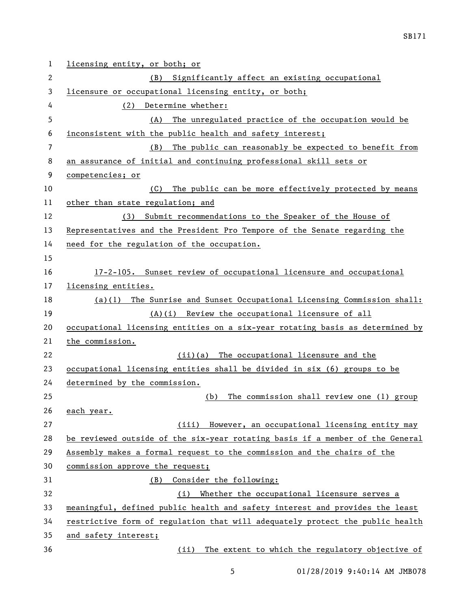| 1              | licensing entity, or both; or                                                 |  |  |  |  |  |
|----------------|-------------------------------------------------------------------------------|--|--|--|--|--|
| 2              | Significantly affect an existing occupational<br>(B)                          |  |  |  |  |  |
| 3              | licensure or occupational licensing entity, or both;                          |  |  |  |  |  |
| 4              | Determine whether:<br>(2)                                                     |  |  |  |  |  |
| 5              | The unregulated practice of the occupation would be<br>(A)                    |  |  |  |  |  |
| 6              | inconsistent with the public health and safety interest;                      |  |  |  |  |  |
| $\overline{7}$ | The public can reasonably be expected to benefit from<br>(B)                  |  |  |  |  |  |
| 8              | an assurance of initial and continuing professional skill sets or             |  |  |  |  |  |
| 9              | competencies; or                                                              |  |  |  |  |  |
| 10             | (C)<br>The public can be more effectively protected by means                  |  |  |  |  |  |
| 11             | other than state regulation; and                                              |  |  |  |  |  |
| 12             | (3) Submit recommendations to the Speaker of the House of                     |  |  |  |  |  |
| 13             | Representatives and the President Pro Tempore of the Senate regarding the     |  |  |  |  |  |
| 14             | need for the regulation of the occupation.                                    |  |  |  |  |  |
| 15             |                                                                               |  |  |  |  |  |
| 16             | 17-2-105. Sunset review of occupational licensure and occupational            |  |  |  |  |  |
| 17             | licensing entities.                                                           |  |  |  |  |  |
| 18             | $(a)(1)$ The Sunrise and Sunset Occupational Licensing Commission shall:      |  |  |  |  |  |
| 19             | (A)(i) Review the occupational licensure of all                               |  |  |  |  |  |
| 20             | occupational licensing entities on a six-year rotating basis as determined by |  |  |  |  |  |
| 21             | the commission.                                                               |  |  |  |  |  |
| 22             | (ii)(a) The occupational licensure and the                                    |  |  |  |  |  |
| 23             | occupational licensing entities shall be divided in six (6) groups to be      |  |  |  |  |  |
| 24             | determined by the commission.                                                 |  |  |  |  |  |
| 25             | The commission shall review one (1) group<br>(b)                              |  |  |  |  |  |
| 26             | each year.                                                                    |  |  |  |  |  |
| 27             | (iii) However, an occupational licensing entity may                           |  |  |  |  |  |
| 28             | be reviewed outside of the six-year rotating basis if a member of the General |  |  |  |  |  |
| 29             | Assembly makes a formal request to the commission and the chairs of the       |  |  |  |  |  |
| 30             | commission approve the request;                                               |  |  |  |  |  |
| 31             | Consider the following:<br>(B)                                                |  |  |  |  |  |
| 32             | Whether the occupational licensure serves a<br>(i)                            |  |  |  |  |  |
| 33             | meaningful, defined public health and safety interest and provides the least  |  |  |  |  |  |
| 34             | restrictive form of regulation that will adequately protect the public health |  |  |  |  |  |
| 35             | and safety interest;                                                          |  |  |  |  |  |
| 36             | The extent to which the regulatory objective of<br>(ii)                       |  |  |  |  |  |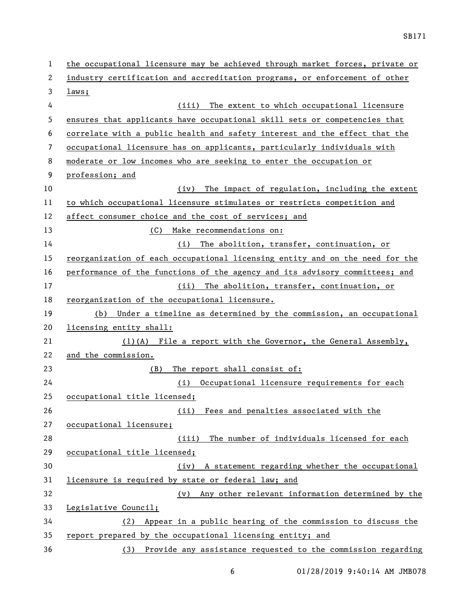| 1  | the occupational licensure may be achieved through market forces, private or |  |  |  |  |  |
|----|------------------------------------------------------------------------------|--|--|--|--|--|
| 2  | industry certification and accreditation programs, or enforcement of other   |  |  |  |  |  |
| 3  | laws;                                                                        |  |  |  |  |  |
| 4  | The extent to which occupational licensure<br>(iii)                          |  |  |  |  |  |
| 5  | ensures that applicants have occupational skill sets or competencies that    |  |  |  |  |  |
| 6  | correlate with a public health and safety interest and the effect that the   |  |  |  |  |  |
| 7  | occupational licensure has on applicants, particularly individuals with      |  |  |  |  |  |
| 8  | moderate or low incomes who are seeking to enter the occupation or           |  |  |  |  |  |
| 9  | profession; and                                                              |  |  |  |  |  |
| 10 | The impact of regulation, including the extent<br>(iv)                       |  |  |  |  |  |
| 11 | to which occupational licensure stimulates or restricts competition and      |  |  |  |  |  |
| 12 | affect consumer choice and the cost of services; and                         |  |  |  |  |  |
| 13 | (C) Make recommendations on:                                                 |  |  |  |  |  |
| 14 | The abolition, transfer, continuation, or<br>(i)                             |  |  |  |  |  |
| 15 | reorganization of each occupational licensing entity and on the need for the |  |  |  |  |  |
| 16 | performance of the functions of the agency and its advisory committees; and  |  |  |  |  |  |
| 17 | (ii) The abolition, transfer, continuation, or                               |  |  |  |  |  |
| 18 | reorganization of the occupational licensure.                                |  |  |  |  |  |
| 19 | Under a timeline as determined by the commission, an occupational<br>(b)     |  |  |  |  |  |
| 20 | licensing entity shall:                                                      |  |  |  |  |  |
| 21 | $(1)(A)$ File a report with the Governor, the General Assembly,              |  |  |  |  |  |
| 22 | and the commission.                                                          |  |  |  |  |  |
| 23 | The report shall consist of:<br>(B)                                          |  |  |  |  |  |
| 24 | (i) Occupational licensure requirements for each                             |  |  |  |  |  |
| 25 | occupational title licensed;                                                 |  |  |  |  |  |
| 26 | Fees and penalties associated with the<br>(ii)                               |  |  |  |  |  |
| 27 | occupational licensure;                                                      |  |  |  |  |  |
| 28 | (iii) The number of individuals licensed for each                            |  |  |  |  |  |
| 29 | occupational title licensed;                                                 |  |  |  |  |  |
| 30 | (iv) A statement regarding whether the occupational                          |  |  |  |  |  |
| 31 | licensure is required by state or federal law; and                           |  |  |  |  |  |
| 32 | Any other relevant information determined by the<br>(v)                      |  |  |  |  |  |
| 33 | Legislative Council;                                                         |  |  |  |  |  |
| 34 | Appear in a public hearing of the commission to discuss the<br>(2)           |  |  |  |  |  |
| 35 | report prepared by the occupational licensing entity; and                    |  |  |  |  |  |
| 36 | (3) Provide any assistance requested to the commission regarding             |  |  |  |  |  |